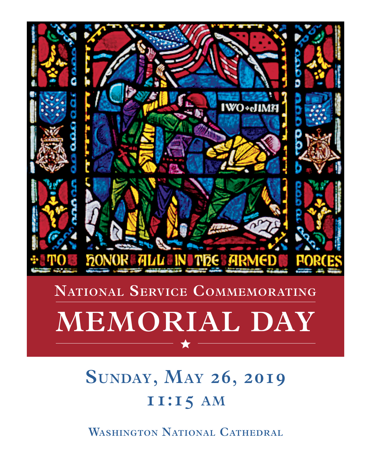

## **NATIONAL SERVICE COMMEMORATING**

# **MEMORIAL DAY**

## **sunday, May 26, 2019 11:15 aM**

**Washington national Cathedral**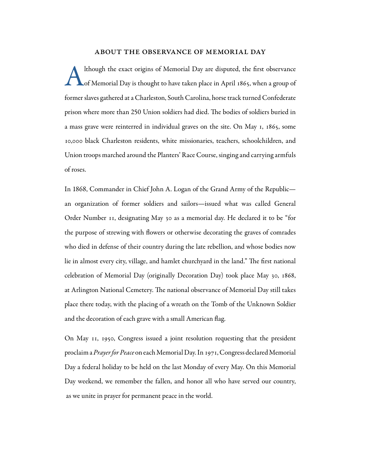#### about the observance of memorial day

Although the exact origins of Memorial Day are disputed, the first observance<br>of Memorial Day is thought to have taken place in April 1865, when a group of of Memorial Day is thought to have taken place in April 1865, when a group of former slaves gathered at a Charleston, South Carolina, horse track turned Confederate prison where more than 250 Union soldiers had died. The bodies of soldiers buried in a mass grave were reinterred in individual graves on the site. On May 1, 1865, some 10,000 black Charleston residents, white missionaries, teachers, schoolchildren, and Union troops marched around the Planters' Race Course, singing and carrying armfuls of roses.

In 1868, Commander in Chief John A. Logan of the Grand Army of the Republic an organization of former soldiers and sailors—issued what was called General Order Number 11, designating May 30 as a memorial day. He declared it to be "for the purpose of strewing with flowers or otherwise decorating the graves of comrades who died in defense of their country during the late rebellion, and whose bodies now lie in almost every city, village, and hamlet churchyard in the land." The first national celebration of Memorial Day (originally Decoration Day) took place May 30, 1868, at Arlington National Cemetery. The national observance of Memorial Day still takes place there today, with the placing of a wreath on the Tomb of the Unknown Soldier and the decoration of each grave with a small American flag.

On May 11, 1950, Congress issued a joint resolution requesting that the president proclaim a *Prayer for Peace* on each Memorial Day. In 1971, Congress declared Memorial Day a federal holiday to be held on the last Monday of every May. On this Memorial Day weekend, we remember the fallen, and honor all who have served our country, as we unite in prayer for permanent peace in the world.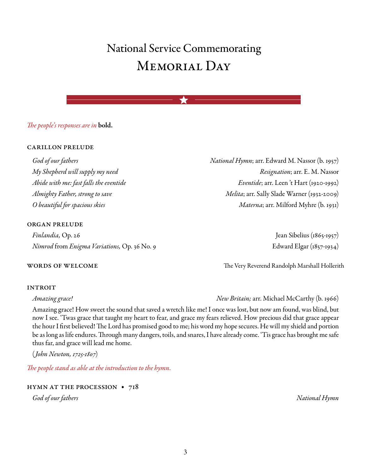## $National Service \textbf{Commemorating}$ Memorial Day **MEMORIAL DAY**

## *The people's responses are in* bold. **su** bold.

#### carillon prelude

#### organ prelude

*Finlandia*, Op. 26 Jean Sibelius (1865-1957) *Nimrod* from *Enigma Variations*, Op. 36 No. 9 Edward Elgar (1857-1934)

#### **INTROIT**

Amazing grace! How sweet the sound that saved a wretch like me! I once was lost, but now am found, was blind, but now I see. 'Twas grace that taught my heart to fear, and grace my fears relieved. How precious did that grace appear the hour I first believed! The Lord has promised good to me; his word my hope secures. He will my shield and portion be as long as life endures. Through many dangers, toils, and snares, I have already come. 'Tis grace has brought me safe thus far, and grace will lead me home.

(*John Newton, 1725-1807*)

*The people stand as able at the introduction to the hymn.* 

hymn at the procession • 718

*God of our fathers National Hymn*

*God of our fathers National Hymn*; arr. Edward M. Nassor (b. 1957) *My Shepherd will supply my need Resignation*;arr. E. M. Nassor *Abide with me: fast falls the eventide Eventide*;arr. Leen 't Hart (1920-1992) **Washington national Cathedral** *Almighty Father, strong to save Melita*;arr. Sally Slade Warner (1932-2009) *O beautiful for spacious skies Materna*;arr. Milford Myhre (b. 1931) **11:15 aM**

words of welcome The Very Reverend Randolph Marshall Hollerith

*Amazing grace! New Britain;* arr. Michael McCarthy (b. 1966)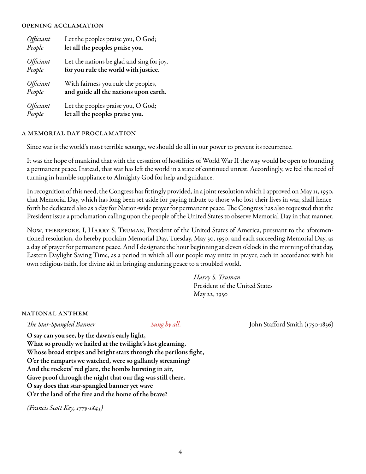#### opening acclamation

| Officiant               | Let the peoples praise you, O God;        |
|-------------------------|-------------------------------------------|
| People                  | let all the peoples praise you.           |
| Officiant               | Let the nations be glad and sing for joy, |
| People                  | for you rule the world with justice.      |
| Officiant               | With fairness you rule the peoples,       |
| People                  | and guide all the nations upon earth.     |
| <i><b>Officiant</b></i> | Let the peoples praise you, O God;        |
| People                  | let all the peoples praise you.           |

#### a memorial day proclamation

Since war is the world's most terrible scourge, we should do all in our power to prevent its recurrence.

It was the hope of mankind that with the cessation of hostilities of World War II the way would be open to founding a permanent peace. Instead, that war has left the world in a state of continued unrest. Accordingly, we feel the need of turning in humble suppliance to Almighty God for help and guidance.

In recognition of this need, the Congress has fittingly provided, in a joint resolution which I approved on May 11, 1950, that Memorial Day, which has long been set aside for paying tribute to those who lost their lives in war, shall henceforth be dedicated also as a day for Nation-wide prayer for permanent peace. The Congress has also requested that the President issue a proclamation calling upon the people of the United States to observe Memorial Day in that manner.

Now, therefore, I, Harry S. Truman, President of the United States of America, pursuant to the aforementioned resolution, do hereby proclaim Memorial Day, Tuesday, May 30, 1950, and each succeeding Memorial Day, as a day of prayer for permanent peace. And I designate the hour beginning at eleven o'clock in the morning of that day, Eastern Daylight Saving Time, as a period in which all our people may unite in prayer, each in accordance with his own religious faith, for divine aid in bringing enduring peace to a troubled world.

> *Harry S. Truman* President of the United States May 22, 1950

#### national anthem

*The Star-Spangled Banner Sung by all.* John Stafford Smith (1750-1836)

O say can you see, by the dawn's early light,

What so proudly we hailed at the twilight's last gleaming, Whose broad stripes and bright stars through the perilous fight, O'er the ramparts we watched, were so gallantly streaming? And the rockets' red glare, the bombs bursting in air, Gave proof through the night that our flag was still there. O say does that star-spangled banner yet wave O'er the land of the free and the home of the brave?

*(Francis Scott Key, 1779-1843)*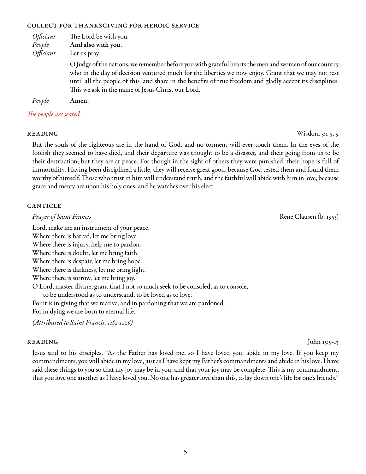#### collect for thanksgiving for heroic service

| Officiant<br>People<br><i>Officiant</i> | The Lord be with you.<br>And also with you.<br>Let us pray.                                                                                                                                                                                                                                                                                                                    |
|-----------------------------------------|--------------------------------------------------------------------------------------------------------------------------------------------------------------------------------------------------------------------------------------------------------------------------------------------------------------------------------------------------------------------------------|
|                                         | O Judge of the nations, we remember before you with grateful hearts the men and women of our country<br>who in the day of decision ventured much for the liberties we now enjoy. Grant that we may not rest<br>until all the people of this land share in the benefits of true freedom and gladly accept its disciplines.<br>This we ask in the name of Jesus Christ our Lord. |
| People                                  | Amen.                                                                                                                                                                                                                                                                                                                                                                          |

*The people are seated.*

### **READING** Wisdom 3:1-5, 9

But the souls of the righteous are in the hand of God, and no torment will ever touch them. In the eyes of the foolish they seemed to have died, and their departure was thought to be a disaster, and their going from us to be their destruction; but they are at peace. For though in the sight of others they were punished, their hope is full of immortality. Having been disciplined a little, they will receive great good, because God tested them and found them worthy of himself. Those who trust in him will understand truth, and the faithful will abide with him in love, because grace and mercy are upon his holy ones, and he watches over his elect.

#### **CANTICLE**

*Prayer of Saint Francis* **Rene Clausen** (b. 1953)

Lord, make me an instrument of your peace. Where there is hatred, let me bring love. Where there is injury, help me to pardon. Where there is doubt, let me bring faith. Where there is despair, let me bring hope. Where there is darkness, let me bring light. Where there is sorrow, let me bring joy. O Lord, master divine, grant that I not so much seek to be consoled, as to console, to be understood as to understand, to be loved as to love. For it is in giving that we receive, and in pardoning that we are pardoned. For in dying we are born to eternal life.

*(Attributed to Saint Francis, 1182-1226)*

### **READING** John 15:9-13

Jesus said to his disciples, "As the Father has loved me, so I have loved you; abide in my love. If you keep my commandments, you will abide in my love, just as I have kept my Father's commandments and abide in his love. I have said these things to you so that my joy may be in you, and that your joy may be complete. This is my commandment, that you love one another as I have loved you. No one has greater love than this, to lay down one's life for one's friends."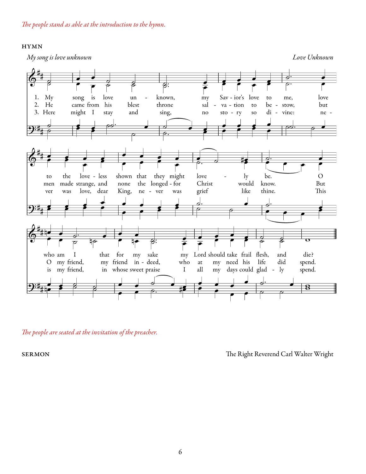#### hymn

*My song is love unknown Love Unknown*



*The people are seated at the invitation of the preacher.*

SERMON The Right Reverend Carl Walter Wright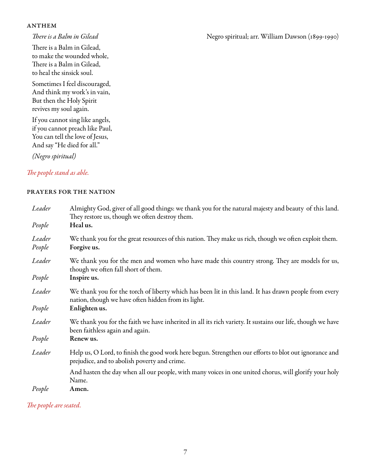#### **ANTHEM**

There is a Balm in Gilead, to make the wounded whole, There is a Balm in Gilead, to heal the sinsick soul.

Sometimes I feel discouraged, And think my work's in vain, But then the Holy Spirit revives my soul again.

If you cannot sing like angels, if you cannot preach like Paul, You can tell the love of Jesus, And say "He died for all."

*(Negro spiritual)*

### *The people stand as able.*

#### prayers for the nation

| Leader           | Almighty God, giver of all good things: we thank you for the natural majesty and beauty of this land.<br>They restore us, though we often destroy them.      |
|------------------|--------------------------------------------------------------------------------------------------------------------------------------------------------------|
| People           | Heal us.                                                                                                                                                     |
| Leader<br>People | We thank you for the great resources of this nation. They make us rich, though we often exploit them.<br>Forgive us.                                         |
| Leader           | We thank you for the men and women who have made this country strong. They are models for us,<br>though we often fall short of them.                         |
| People           | Inspire us.                                                                                                                                                  |
| Leader           | We thank you for the torch of liberty which has been lit in this land. It has drawn people from every<br>nation, though we have often hidden from its light. |
| People           | Enlighten us.                                                                                                                                                |
| Leader           | We thank you for the faith we have inherited in all its rich variety. It sustains our life, though we have<br>been faithless again and again.                |
| People           | Renew us.                                                                                                                                                    |
| Leader           | Help us, O Lord, to finish the good work here begun. Strengthen our efforts to blot out ignorance and<br>prejudice, and to abolish poverty and crime.        |
|                  | And hasten the day when all our people, with many voices in one united chorus, will glorify your holy<br>Name.                                               |
| People           | Amen.                                                                                                                                                        |

*The people are seated.*

#### *There is a Balm in Gilead* (1899-1990) **Negro spiritual;** arr. William Dawson (1899-1990)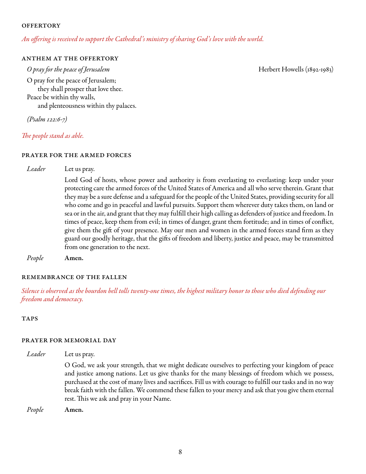#### **OFFERTORY**

#### *An offering is received to support the Cathedral's ministry of sharing God's love with the world.*

#### anthem at the offertory

*O pray for the peace of Jerusalem* Herbert Howells (1892-1983) O pray for the peace of Jerusalem; they shall prosper that love thee. Peace be within thy walls, and plenteousness within thy palaces.

*(Psalm 122:6-7)*

*The people stand as able.*

#### prayer for the armed forces

*Leader* Let us pray.

Lord God of hosts, whose power and authority is from everlasting to everlasting: keep under your protecting care the armed forces of the United States of America and all who serve therein. Grant that they may be a sure defense and a safeguard for the people of the United States, providing security for all who come and go in peaceful and lawful pursuits. Support them wherever duty takes them, on land or sea or in the air, and grant that they may fulfill their high calling as defenders of justice and freedom. In times of peace, keep them from evil; in times of danger, grant them fortitude; and in times of conflict, give them the gift of your presence. May our men and women in the armed forces stand firm as they guard our goodly heritage, that the gifts of freedom and liberty, justice and peace, may be transmitted from one generation to the next.

*People* Amen.

#### remembrance of the fallen

*Silence is observed as the bourdon bell tolls twenty-one times, the highest military honor to those who died defending our freedom and democracy.*

**TAPS** 

#### prayer for memorial day

*Leader* Let us pray. O God, we ask your strength, that we might dedicate ourselves to perfecting your kingdom of peace and justice among nations. Let us give thanks for the many blessings of freedom which we possess, purchased at the cost of many lives and sacrifices. Fill us with courage to fulfill our tasks and in no way break faith with the fallen. We commend these fallen to your mercy and ask that you give them eternal rest. This we ask and pray in your Name.

*People* Amen.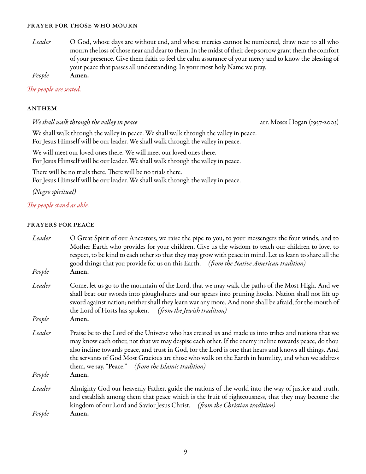#### prayer for those who mourn

*Leader* O God, whose days are without end, and whose mercies cannot be numbered, draw near to all who mourn the loss of those near and dear to them. In the midst of their deep sorrow grant them the comfort of your presence. Give them faith to feel the calm assurance of your mercy and to know the blessing of your peace that passes all understanding. In your most holy Name we pray. *People* Amen.

*The people are seated.*

#### **ANTHEM**

*We shall walk through the valley in peace* arr. Moses Hogan (1957-2003)

We shall walk through the valley in peace. We shall walk through the valley in peace. For Jesus Himself will be our leader. We shall walk through the valley in peace.

We will meet our loved ones there. We will meet our loved ones there.

For Jesus Himself will be our leader. We shall walk through the valley in peace.

There will be no trials there. There will be no trials there.

For Jesus Himself will be our leader. We shall walk through the valley in peace.

*(Negro spiritual)*

### *The people stand as able.*

#### prayers for peace

| Leader | O Great Spirit of our Ancestors, we raise the pipe to you, to your messengers the four winds, and to<br>Mother Earth who provides for your children. Give us the wisdom to teach our children to love, to<br>respect, to be kind to each other so that they may grow with peace in mind. Let us learn to share all the                                                                                                                                                              |
|--------|-------------------------------------------------------------------------------------------------------------------------------------------------------------------------------------------------------------------------------------------------------------------------------------------------------------------------------------------------------------------------------------------------------------------------------------------------------------------------------------|
| People | good things that you provide for us on this Earth. (from the Native American tradition)<br>Amen.                                                                                                                                                                                                                                                                                                                                                                                    |
| Leader | Come, let us go to the mountain of the Lord, that we may walk the paths of the Most High. And we<br>shall beat our swords into ploughshares and our spears into pruning hooks. Nation shall not lift up<br>sword against nation; neither shall they learn war any more. And none shall be afraid, for the mouth of<br>the Lord of Hosts has spoken. (from the Jewish tradition)                                                                                                     |
| People | Amen.                                                                                                                                                                                                                                                                                                                                                                                                                                                                               |
| Leader | Praise be to the Lord of the Universe who has created us and made us into tribes and nations that we<br>may know each other, not that we may despise each other. If the enemy incline towards peace, do thou<br>also incline towards peace, and trust in God, for the Lord is one that hears and knows all things. And<br>the servants of God Most Gracious are those who walk on the Earth in humility, and when we address<br>them, we say, "Peace." (from the Islamic tradition) |
| People | Amen.                                                                                                                                                                                                                                                                                                                                                                                                                                                                               |
| Leader | Almighty God our heavenly Father, guide the nations of the world into the way of justice and truth,<br>and establish among them that peace which is the fruit of righteousness, that they may become the<br>kingdom of our Lord and Savior Jesus Christ. (from the Christian tradition)                                                                                                                                                                                             |
| People | Amen.                                                                                                                                                                                                                                                                                                                                                                                                                                                                               |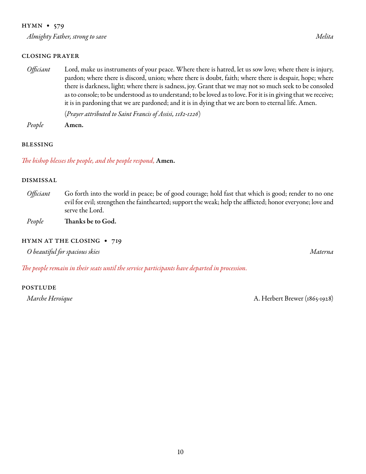#### hymn • 579

*Almighty Father, strong to save Melita*

#### closing prayer

*Officiant* Lord, make us instruments of your peace. Where there is hatred, let us sow love; where there is injury, pardon; where there is discord, union; where there is doubt, faith; where there is despair, hope; where there is darkness, light; where there is sadness, joy. Grant that we may not so much seek to be consoled as to console; to be understood as to understand; to be loved as to love. For it is in giving that we receive; it is in pardoning that we are pardoned; and it is in dying that we are born to eternal life. Amen.

(*Prayer attributed to Saint Francis of Assisi, 1182-1226*)

*People* Amen.

#### blessing

*The bishop blesses the people, and the people respond,* Amen.

#### dismissal

- *Officiant* Go forth into the world in peace; be of good courage; hold fast that which is good; render to no one evil for evil; strengthen the fainthearted; support the weak; help the afflicted; honor everyone; love and serve the Lord.
- *People* Thanks be to God.

#### HYMN AT THE CLOSING • 719

*O beautiful for spacious skies Materna*

*The people remain in their seats until the service participants have departed in procession.* 

#### **POSTLUDE**

*Marche Heroïque* A. Herbert Brewer (1865-1928)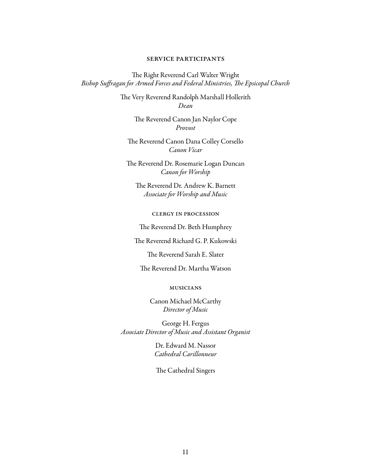#### service participants

The Right Reverend Carl Walter Wright *Bishop Suffragan for Armed Forces and Federal Ministries, The Epsicopal Church* 

> The Very Reverend Randolph Marshall Hollerith *Dean*

> > The Reverend Canon Jan Naylor Cope *Provost*

The Reverend Canon Dana Colley Corsello *Canon Vicar* 

The Reverend Dr. Rosemarie Logan Duncan *Canon for Worship*

The Reverend Dr. Andrew K. Barnett *Associate for Worship and Music*

clergy in procession

The Reverend Dr. Beth Humphrey

The Reverend Richard G. P. Kukowski

The Reverend Sarah E. Slater

The Reverend Dr. Martha Watson

#### musicians

Canon Michael McCarthy *Director of Music* 

George H. Fergus *Associate Director of Music and Assistant Organist*

> Dr. Edward M. Nassor *Cathedral Carillonneur*

The Cathedral Singers